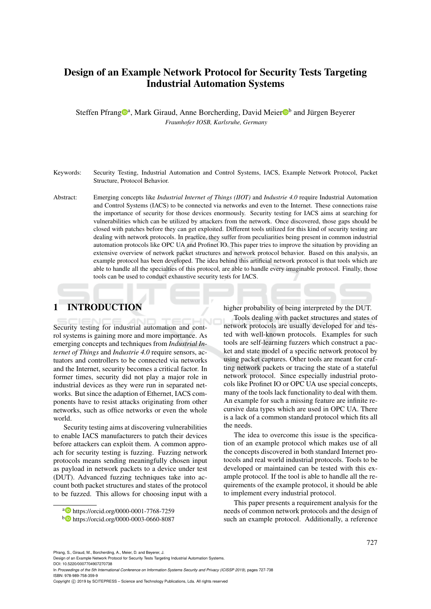# Design of an Example Network Protocol for Security Tests Targeting Industrial Automation Systems

Steffen Pfrang<sup>oa</sup>, Mark Giraud, Anne Borcherding, David Meier<sup>ob</sup> and Jürgen Beyerer *Fraunhofer IOSB, Karlsruhe, Germany*

- Keywords: Security Testing, Industrial Automation and Control Systems, IACS, Example Network Protocol, Packet Structure, Protocol Behavior.
- Abstract: Emerging concepts like *Industrial Internet of Things (IIOT)* and *Industrie 4.0* require Industrial Automation and Control Systems (IACS) to be connected via networks and even to the Internet. These connections raise the importance of security for those devices enormously. Security testing for IACS aims at searching for vulnerabilities which can be utilized by attackers from the network. Once discovered, those gaps should be closed with patches before they can get exploited. Different tools utilized for this kind of security testing are dealing with network protocols. In practice, they suffer from peculiarities being present in common industrial automation protocols like OPC UA and Profinet IO. This paper tries to improve the situation by providing an extensive overview of network packet structures and network protocol behavior. Based on this analysis, an example protocol has been developed. The idea behind this artificial network protocol is that tools which are able to handle all the specialties of this protocol, are able to handle every imaginable protocol. Finally, those tools can be used to conduct exhaustive security tests for IACS.

# 1 INTRODUCTION

Security testing for industrial automation and control systems is gaining more and more importance. As emerging concepts and techniques from *Industrial Internet of Things* and *Industrie 4.0* require sensors, actuators and controllers to be connected via networks and the Internet, security becomes a critical factor. In former times, security did not play a major role in industrial devices as they were run in separated networks. But since the adaption of Ethernet, IACS components have to resist attacks originating from other networks, such as office networks or even the whole world.

Security testing aims at discovering vulnerabilities to enable IACS manufacturers to patch their devices before attackers can exploit them. A common approach for security testing is fuzzing. Fuzzing network protocols means sending meaningfully chosen input as payload in network packets to a device under test (DUT). Advanced fuzzing techniques take into account both packet structures and states of the protocol to be fuzzed. This allows for choosing input with a

<sup>a</sup> https://orcid.org/0000-0001-7768-7259

higher probability of being interpreted by the DUT.

Tools dealing with packet structures and states of network protocols are usually developed for and tested with well-known protocols. Examples for such tools are self-learning fuzzers which construct a packet and state model of a specific network protocol by using packet captures. Other tools are meant for crafting network packets or tracing the state of a stateful network protocol. Since especially industrial protocols like Profinet IO or OPC UA use special concepts, many of the tools lack functionality to deal with them. An example for such a missing feature are infinite recursive data types which are used in OPC UA. There is a lack of a common standard protocol which fits all the needs.

The idea to overcome this issue is the specification of an example protocol which makes use of all the concepts discovered in both standard Internet protocols and real world industrial protocols. Tools to be developed or maintained can be tested with this example protocol. If the tool is able to handle all the requirements of the example protocol, it should be able to implement every industrial protocol.

This paper presents a requirement analysis for the needs of common network protocols and the design of such an example protocol. Additionally, a reference

<sup>b</sup> https://orcid.org/0000-0003-0660-8087

Pfrang, S., Giraud, M., Borcherding, A., Meier, D. and Beyerer, J.

Design of an Example Network Protocol for Security Tests Targeting Industrial Automation Systems. DOI: 10.5220/0007704907270738

In *Proceedings of the 5th International Conference on Information Systems Security and Privacy (ICISSP 2019)*, pages 727-738 ISBN: 978-989-758-359-9

Copyright (C) 2019 by SCITEPRESS - Science and Technology Publications, Lda. All rights reserved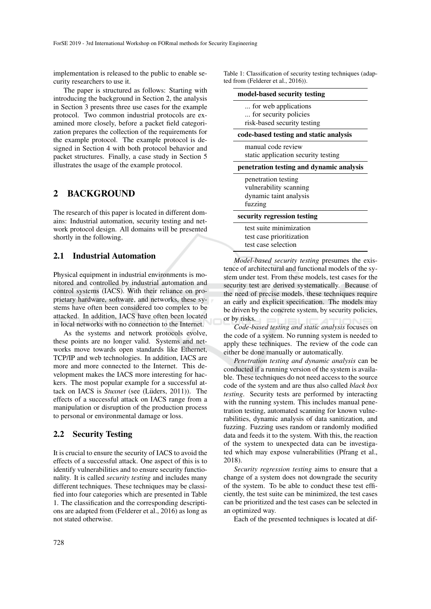implementation is released to the public to enable security researchers to use it.

The paper is structured as follows: Starting with introducing the background in Section 2, the analysis in Section 3 presents three use cases for the example protocol. Two common industrial protocols are examined more closely, before a packet field categorization prepares the collection of the requirements for the example protocol. The example protocol is designed in Section 4 with both protocol behavior and packet structures. Finally, a case study in Section 5 illustrates the usage of the example protocol.

# 2 BACKGROUND

The research of this paper is located in different domains: Industrial automation, security testing and network protocol design. All domains will be presented shortly in the following.

## 2.1 Industrial Automation

Physical equipment in industrial environments is monitored and controlled by industrial automation and control systems (IACS). With their reliance on proprietary hardware, software, and networks, these systems have often been considered too complex to be attacked. In addition, IACS have often been located in local networks with no connection to the Internet.

As the systems and network protocols evolve, these points are no longer valid. Systems and networks move towards open standards like Ethernet, TCP/IP and web technologies. In addition, IACS are more and more connected to the Internet. This development makes the IACS more interesting for hackers. The most popular example for a successful attack on IACS is *Stuxnet* (see (Lüders, 2011)). The effects of a successful attack on IACS range from a manipulation or disruption of the production process to personal or environmental damage or loss.

# 2.2 Security Testing

It is crucial to ensure the security of IACS to avoid the effects of a successful attack. One aspect of this is to identify vulnerabilities and to ensure security functionality. It is called *security testing* and includes many different techniques. These techniques may be classified into four categories which are presented in Table 1. The classification and the corresponding descriptions are adapted from (Felderer et al., 2016) as long as not stated otherwise.

Table 1: Classification of security testing techniques (adapted from (Felderer et al., 2016)).

| model-based security testing                                                       |  |
|------------------------------------------------------------------------------------|--|
| for web applications<br>for security policies<br>risk-based security testing       |  |
| code-based testing and static analysis                                             |  |
| manual code review<br>static application security testing                          |  |
| penetration testing and dynamic analysis                                           |  |
| penetration testing<br>vulnerability scanning<br>dynamic taint analysis<br>fuzzing |  |
| security regression testing                                                        |  |
| test suite minimization<br>test case prioritization<br>test case selection         |  |

*Model-based security testing* presumes the existence of architectural and functional models of the system under test. From these models, test cases for the security test are derived systematically. Because of the need of precise models, these techniques require an early and explicit specification. The models may be driven by the concrete system, by security policies, or by risks.

*Code-based testing and static analysis* focuses on the code of a system. No running system is needed to apply these techniques. The review of the code can either be done manually or automatically.

*Penetration testing and dynamic analysis* can be conducted if a running version of the system is available. These techniques do not need access to the source code of the system and are thus also called *black box testing*. Security tests are performed by interacting with the running system. This includes manual penetration testing, automated scanning for known vulnerabilities, dynamic analysis of data sanitization, and fuzzing. Fuzzing uses random or randomly modified data and feeds it to the system. With this, the reaction of the system to unexpected data can be investigated which may expose vulnerabilities (Pfrang et al., 2018).

*Security regression testing* aims to ensure that a change of a system does not downgrade the security of the system. To be able to conduct these test efficiently, the test suite can be minimized, the test cases can be prioritized and the test cases can be selected in an optimized way.

Each of the presented techniques is located at dif-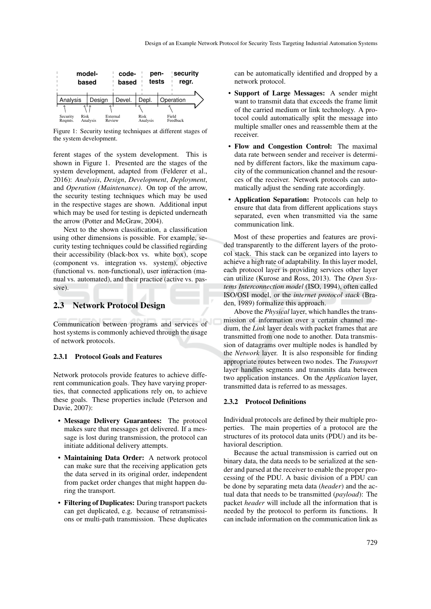

Figure 1: Security testing techniques at different stages of the system development.

ferent stages of the system development. This is shown in Figure 1. Presented are the stages of the system development, adapted from (Felderer et al., 2016): *Analysis*, *Design*, *Development*, *Deployment*, and *Operation (Maintenance)*. On top of the arrow, the security testing techniques which may be used in the respective stages are shown. Additional input which may be used for testing is depicted underneath the arrow (Potter and McGraw, 2004).

Next to the shown classification, a classification using other dimensions is possible. For example, security testing techniques could be classified regarding their accessibility (black-box vs. white box), scope (component vs. integration vs. system), objective (functional vs. non-functional), user interaction (manual vs. automated), and their practice (active vs. passive).

# 2.3 Network Protocol Design

Communication between programs and services of host systems is commonly achieved through the usage of network protocols.

### 2.3.1 Protocol Goals and Features

Network protocols provide features to achieve different communication goals. They have varying properties, that connected applications rely on, to achieve these goals. These properties include (Peterson and Davie, 2007):

- Message Delivery Guarantees: The protocol makes sure that messages get delivered. If a message is lost during transmission, the protocol can initiate additional delivery attempts.
- Maintaining Data Order: A network protocol can make sure that the receiving application gets the data served in its original order, independent from packet order changes that might happen during the transport.
- Filtering of Duplicates: During transport packets can get duplicated, e.g. because of retransmissions or multi-path transmission. These duplicates

can be automatically identified and dropped by a network protocol.

- Support of Large Messages: A sender might want to transmit data that exceeds the frame limit of the carried medium or link technology. A protocol could automatically split the message into multiple smaller ones and reassemble them at the receiver.
- Flow and Congestion Control: The maximal data rate between sender and receiver is determined by different factors, like the maximum capacity of the communication channel and the resources of the receiver. Network protocols can automatically adjust the sending rate accordingly.
- Application Separation: Protocols can help to ensure that data from different applications stays separated, even when transmitted via the same communication link.

Most of these properties and features are provided transparently to the different layers of the protocol stack. This stack can be organized into layers to achieve a high rate of adaptability. In this layer model, each protocol layer is providing services other layer can utilize (Kurose and Ross, 2013). The *Open Systems Interconnection model* (ISO, 1994), often called ISO/OSI model, or the *internet protocol stack* (Braden, 1989) formalize this approach.

Above the *Physical* layer, which handles the transmission of information over a certain channel medium, the *Link* layer deals with packet frames that are transmitted from one node to another. Data transmission of datagrams over multiple nodes is handled by the *Network* layer. It is also responsible for finding appropriate routes between two nodes. The *Transport* layer handles segments and transmits data between two application instances. On the *Application* layer, transmitted data is referred to as messages.

#### 2.3.2 Protocol Definitions

Individual protocols are defined by their multiple properties. The main properties of a protocol are the structures of its protocol data units (PDU) and its behavioral description.

Because the actual transmission is carried out on binary data, the data needs to be serialized at the sender and parsed at the receiver to enable the proper processing of the PDU. A basic division of a PDU can be done by separating meta data (*header*) and the actual data that needs to be transmitted (*payload*): The packet *header* will include all the information that is needed by the protocol to perform its functions. It can include information on the communication link as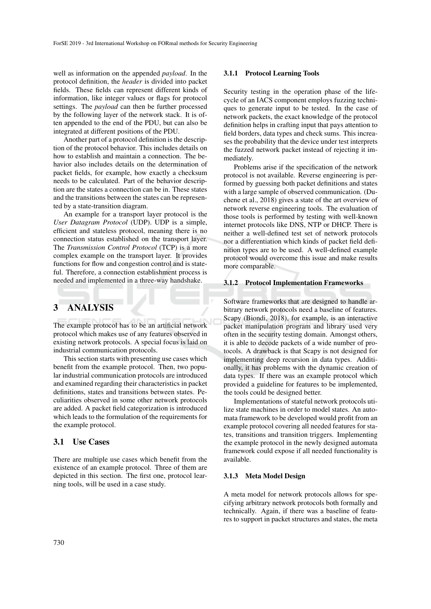well as information on the appended *payload*. In the protocol definition, the *header* is divided into packet fields. These fields can represent different kinds of information, like integer values or flags for protocol settings. The *payload* can then be further processed by the following layer of the network stack. It is often appended to the end of the PDU, but can also be integrated at different positions of the PDU.

Another part of a protocol definition is the description of the protocol behavior. This includes details on how to establish and maintain a connection. The behavior also includes details on the determination of packet fields, for example, how exactly a checksum needs to be calculated. Part of the behavior description are the states a connection can be in. These states and the transitions between the states can be represented by a state-transition diagram.

An example for a transport layer protocol is the *User Datagram Protocol* (UDP). UDP is a simple, efficient and stateless protocol, meaning there is no connection status established on the transport layer. The *Transmission Control Protocol* (TCP) is a more complex example on the transport layer. It provides functions for flow and congestion control and is stateful. Therefore, a connection establishment process is needed and implemented in a three-way handshake.

# 3 ANALYSIS

The example protocol has to be an artificial network protocol which makes use of any features observed in existing network protocols. A special focus is laid on industrial communication protocols.

This section starts with presenting use cases which benefit from the example protocol. Then, two popular industrial communication protocols are introduced and examined regarding their characteristics in packet definitions, states and transitions between states. Peculiarities observed in some other network protocols are added. A packet field categorization is introduced which leads to the formulation of the requirements for the example protocol.

### 3.1 Use Cases

There are multiple use cases which benefit from the existence of an example protocol. Three of them are depicted in this section. The first one, protocol learning tools, will be used in a case study.

### 3.1.1 Protocol Learning Tools

Security testing in the operation phase of the lifecycle of an IACS component employs fuzzing techniques to generate input to be tested. In the case of network packets, the exact knowledge of the protocol definition helps in crafting input that pays attention to field borders, data types and check sums. This increases the probability that the device under test interprets the fuzzed network packet instead of rejecting it immediately.

Problems arise if the specification of the network protocol is not available. Reverse engineering is performed by guessing both packet definitions and states with a large sample of observed communication. (Duchene et al., 2018) gives a state of the art overview of network reverse engineering tools. The evaluation of those tools is performed by testing with well-known internet protocols like DNS, NTP or DHCP. There is neither a well-defined test set of network protocols nor a differentiation which kinds of packet field definition types are to be used. A well-defined example protocol would overcome this issue and make results more comparable.

### 3.1.2 Protocol Implementation Frameworks

Software frameworks that are designed to handle arbitrary network protocols need a baseline of features. Scapy (Biondi, 2018), for example, is an interactive packet manipulation program and library used very often in the security testing domain. Amongst others, it is able to decode packets of a wide number of protocols. A drawback is that Scapy is not designed for implementing deep recursion in data types. Additionally, it has problems with the dynamic creation of data types. If there was an example protocol which provided a guideline for features to be implemented, the tools could be designed better.

Implementations of stateful network protocols utilize state machines in order to model states. An automata framework to be developed would profit from an example protocol covering all needed features for states, transitions and transition triggers. Implementing the example protocol in the newly designed automata framework could expose if all needed functionality is available.

#### 3.1.3 Meta Model Design

A meta model for network protocols allows for specifying arbitrary network protocols both formally and technically. Again, if there was a baseline of features to support in packet structures and states, the meta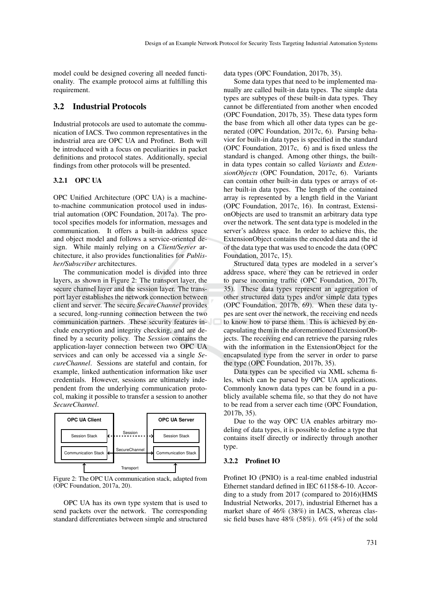model could be designed covering all needed functionality. The example protocol aims at fulfilling this requirement.

### 3.2 Industrial Protocols

Industrial protocols are used to automate the communication of IACS. Two common representatives in the industrial area are OPC UA and Profinet. Both will be introduced with a focus on peculiarities in packet definitions and protocol states. Additionally, special findings from other protocols will be presented.

### 3.2.1 OPC UA

OPC Unified Architecture (OPC UA) is a machineto-machine communication protocol used in industrial automation (OPC Foundation, 2017a). The protocol specifies models for information, messages and communication. It offers a built-in address space and object model and follows a service-oriented design. While mainly relying on a *Client/Server* architecture, it also provides functionalities for *Publisher/Subscriber* architectures.

The communication model is divided into three layers, as shown in Figure 2: The transport layer, the secure channel layer and the session layer. The transport layer establishes the network connection between client and server. The secure *SecureChannel* provides a secured, long-running connection between the two communication partners. These security features include encryption and integrity checking, and are defined by a security policy. The *Session* contains the application-layer connection between two OPC UA services and can only be accessed via a single *SecureChannel*. Sessions are stateful and contain, for example, linked authentication information like user credentials. However, sessions are ultimately independent from the underlying communication protocol, making it possible to transfer a session to another *SecureChannel*.



Figure 2: The OPC UA communication stack, adapted from (OPC Foundation, 2017a, 20).

OPC UA has its own type system that is used to send packets over the network. The corresponding standard differentiates between simple and structured data types (OPC Foundation, 2017b, 35).

Some data types that need to be implemented manually are called built-in data types. The simple data types are subtypes of these built-in data types. They cannot be differentiated from another when encoded (OPC Foundation, 2017b, 35). These data types form the base from which all other data types can be generated (OPC Foundation, 2017c, 6). Parsing behavior for built-in data types is specified in the standard (OPC Foundation, 2017c, 6) and is fixed unless the standard is changed. Among other things, the builtin data types contain so called *Variants* and *ExtensionObjects* (OPC Foundation, 2017c, 6). Variants can contain other built-in data types or arrays of other built-in data types. The length of the contained array is represented by a length field in the Variant (OPC Foundation, 2017c, 16). In contrast, ExtensionObjects are used to transmit an arbitrary data type over the network. The sent data type is modeled in the server's address space. In order to achieve this, the ExtensionObject contains the encoded data and the id of the data type that was used to encode the data (OPC Foundation, 2017c, 15).

Structured data types are modeled in a server's address space, where they can be retrieved in order to parse incoming traffic (OPC Foundation, 2017b, 35). These data types represent an aggregation of other structured data types and/or simple data types (OPC Foundation, 2017b, 69). When these data types are sent over the network, the receiving end needs to know how to parse them. This is achieved by encapsulating them in the aforementioned ExtensionObjects. The receiving end can retrieve the parsing rules with the information in the ExtensionObject for the encapsulated type from the server in order to parse the type (OPC Foundation, 2017b, 35).

Data types can be specified via XML schema files, which can be parsed by OPC UA applications. Commonly known data types can be found in a publicly available schema file, so that they do not have to be read from a server each time (OPC Foundation, 2017b, 35).

Due to the way OPC UA enables arbitrary modeling of data types, it is possible to define a type that contains itself directly or indirectly through another type.

#### 3.2.2 Profinet IO

Profinet IO (PNIO) is a real-time enabled industrial Ethernet standard defined in IEC 61158-6-10. According to a study from 2017 (compared to 2016)(HMS Industrial Networks, 2017), industrial Ethernet has a market share of 46% (38%) in IACS, whereas classic field buses have  $48\%$  (58%). 6% (4%) of the sold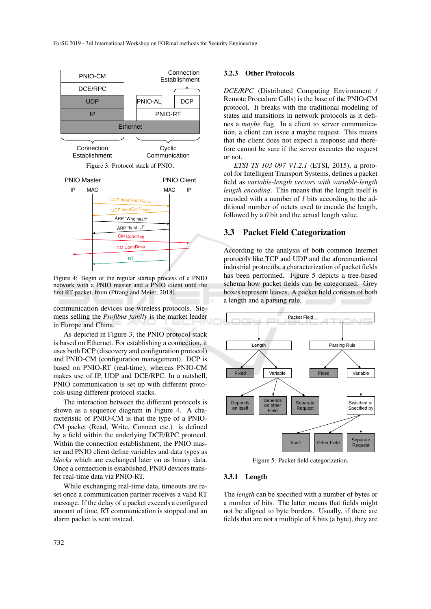

Figure 4: Begin of the regular startup process of a PNIO network with a PNIO master and a PNIO client until the first RT packet, from (Pfrang and Meier, 2018).

communication devices use wireless protocols. Siemens selling the *Profibus family* is the market leader in Europe and China.

As depicted in Figure 3, the PNIO protocol stack is based on Ethernet. For establishing a connection, it uses both DCP (discovery and configuration protocol) and PNIO-CM (configuration management). DCP is based on PNIO-RT (real-time), whereas PNIO-CM makes use of IP, UDP and DCE/RPC. In a nutshell, PNIO communication is set up with different protocols using different protocol stacks.

The interaction between the different protocols is shown as a sequence diagram in Figure 4. A characteristic of PNIO-CM is that the type of a PNIO-CM packet (Read, Write, Connect etc.) is defined by a field within the underlying DCE/RPC protocol. Within the connection establishment, the PNIO master and PNIO client define variables and data types as *blocks* which are exchanged later on as binary data. Once a connection is established, PNIO devices transfer real-time data via PNIO-RT.

While exchanging real-time data, timeouts are reset once a communication partner receives a valid RT message. If the delay of a packet exceeds a configured amount of time, RT communication is stopped and an alarm packet is sent instead.

#### 3.2.3 Other Protocols

*DCE/RPC* (Distributed Computing Environment / Remote Procedure Calls) is the base of the PNIO-CM protocol. It breaks with the traditional modeling of states and transitions in network protocols as it defines a *maybe* flag. In a client to server communication, a client can issue a maybe request. This means that the client does not expect a response and therefore cannot be sure if the server executes the request or not.

*ETSI TS 103 097 V1.2.1* (ETSI, 2015), a protocol for Intelligent Transport Systems, defines a packet field as *variable-length vectors with variable-length length encoding*. This means that the length itself is encoded with a number of *1* bits according to the additional number of octets used to encode the length, followed by a *0* bit and the actual length value.

# 3.3 Packet Field Categorization

According to the analysis of both common Internet protocols like TCP and UDP and the aforementioned industrial protocols, a characterization of packet fields has been performed. Figure 5 depicts a tree-based schema how packet fields can be categorized. Grey boxes represent leaves. A packet field consists of both a length and a parsing rule.



Figure 5: Packet field categorization.

#### 3.3.1 Length

The *length* can be specified with a number of bytes or a number of bits. The latter means that fields might not be aligned to byte borders. Usually, if there are fields that are not a multiple of 8 bits (a byte), they are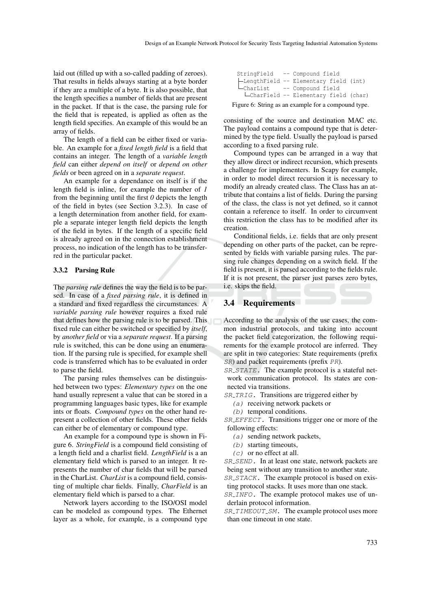laid out (filled up with a so-called padding of zeroes). That results in fields always starting at a byte border if they are a multiple of a byte. It is also possible, that the length specifies a number of fields that are present in the packet. If that is the case, the parsing rule for the field that is repeated, is applied as often as the length field specifies. An example of this would be an array of fields.

The length of a field can be either fixed or variable. An example for a *fixed length field* is a field that contains an integer. The length of a *variable length field* can either *depend on itself* or *depend on other fields* or been agreed on in a *separate request*.

An example for a dependance on itself is if the length field is inline, for example the number of *1* from the beginning until the first *0* depicts the length of the field in bytes (see Section 3.2.3). In case of a length determination from another field, for example a separate integer length field depicts the length of the field in bytes. If the length of a specific field is already agreed on in the connection establishment process, no indication of the length has to be transferred in the particular packet.

### 3.3.2 Parsing Rule

The *parsing rule* defines the way the field is to be parsed. In case of a *fixed parsing rule*, it is defined in a standard and fixed regardless the circumstances. A *variable parsing rule* however requires a fixed rule that defines how the parsing rule is to be parsed. This fixed rule can either be switched or specified by *itself*, by *another field* or via a *separate request*. If a parsing rule is switched, this can be done using an enumeration. If the parsing rule is specified, for example shell code is transferred which has to be evaluated in order to parse the field.

The parsing rules themselves can be distinguished between two types: *Elementary types* on the one hand usually represent a value that can be stored in a programming languages basic types, like for example ints or floats. *Compound types* on the other hand represent a collection of other fields. These other fields can either be of elementary or compound type.

An example for a compound type is shown in Figure 6. *StringField* is a compound field consisting of a length field and a charlist field. *LengthField* is a an elementary field which is parsed to an integer. It represents the number of char fields that will be parsed in the CharList. *CharList* is a compound field, consisting of multiple char fields. Finally, *CharField* is an elementary field which is parsed to a char.

Network layers according to the ISO/OSI model can be modeled as compound types. The Ethernet layer as a whole, for example, is a compound type

| Figure 6: String as an example for a compound type. |  |  |  |  |  |
|-----------------------------------------------------|--|--|--|--|--|
| LcharField -- Elementary field (char)               |  |  |  |  |  |
| - Compound field                                    |  |  |  |  |  |
| -LengthField -- Elementary field (int)              |  |  |  |  |  |
| StringField -- Compound field                       |  |  |  |  |  |

consisting of the source and destination MAC etc. The payload contains a compound type that is determined by the type field. Usually the payload is parsed according to a fixed parsing rule.

Compound types can be arranged in a way that they allow direct or indirect recursion, which presents a challenge for implementers. In Scapy for example, in order to model direct recursion it is necessary to modify an already created class. The Class has an attribute that contains a list of fields. During the parsing of the class, the class is not yet defined, so it cannot contain a reference to itself. In order to circumvent this restriction the class has to be modified after its creation.

Conditional fields, i.e. fields that are only present depending on other parts of the packet, can be represented by fields with variable parsing rules. The parsing rule changes depending on a switch field. If the field is present, it is parsed according to the fields rule. If it is not present, the parser just parses zero bytes, i.e. skips the field.

# 3.4 Requirements

According to the analysis of the use cases, the common industrial protocols, and taking into account the packet field categorization, the following requirements for the example protocol are inferred. They are split in two categories: State requirements (prefix SR) and packet requirements (prefix PR).

SR\_STATE. The example protocol is a stateful network communication protocol. Its states are connected via transitions.

SR\_TRIG. Transitions are triggered either by

- (a) receiving network packets or
- (b) temporal conditions.

SR\_EFFECT. Transitions trigger one or more of the following effects:

- (a) sending network packets,
- (b) starting timeouts,
- $(c)$  or no effect at all.

SR SEND. In at least one state, network packets are being sent without any transition to another state.

SR\_STACK. The example protocol is based on existing protocol stacks. It uses more than one stack.

SR\_INFO. The example protocol makes use of underlain protocol information.

SR\_TIMEOUT\_SM. The example protocol uses more than one timeout in one state.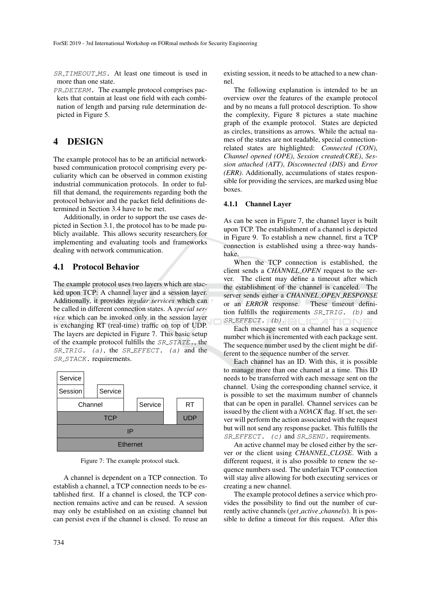SR\_TIMEOUT\_MS. At least one timeout is used in more than one state.

PR\_DETERM. The example protocol comprises packets that contain at least one field with each combination of length and parsing rule determination depicted in Figure 5.

# 4 DESIGN

The example protocol has to be an artificial networkbased communication protocol comprising every peculiarity which can be observed in common existing industrial communication protocols. In order to fulfill that demand, the requirements regarding both the protocol behavior and the packet field definitions determined in Section 3.4 have to be met.

Additionally, in order to support the use cases depicted in Section 3.1, the protocol has to be made publicly available. This allows security researchers for implementing and evaluating tools and frameworks dealing with network communication.

## 4.1 Protocol Behavior

The example protocol uses two layers which are stacked upon TCP: A channel layer and a session layer. Additionally, it provides *regular services* which can be called in different connection states. A *special service* which can be invoked only in the session layer is exchanging RT (real-time) traffic on top of UDP. The layers are depicted in Figure 7. This basic setup of the example protocol fulfills the *SR\_STATE*., the  $SR\_TRIG.$  (a), the  $SR\_EFFECT.$  (a) and the SR\_STACK. requirements.



Figure 7: The example protocol stack.

A channel is dependent on a TCP connection. To establish a channel, a TCP connection needs to be established first. If a channel is closed, the TCP connection remains active and can be reused. A session may only be established on an existing channel but can persist even if the channel is closed. To reuse an

734

existing session, it needs to be attached to a new channel.

The following explanation is intended to be an overview over the features of the example protocol and by no means a full protocol description. To show the complexity, Figure 8 pictures a state machine graph of the example protocol. States are depicted as circles, transitions as arrows. While the actual names of the states are not readable, special connectionrelated states are highlighted: *Connected (CON)*, *Channel opened (OPE)*, *Session created(CRE)*, *Session attached (ATT)*, *Disconnected (DIS)* and *Error (ERR)*. Additionally, accumulations of states responsible for providing the services, are marked using blue boxes.

## 4.1.1 Channel Layer

As can be seen in Figure 7, the channel layer is built upon TCP. The establishment of a channel is depicted in Figure 9. To establish a new channel, first a TCP connection is established using a three-way handshake.

When the TCP connection is established, the client sends a *CHANNEL OPEN* request to the server. The client may define a timeout after which the establishment of the channel is canceled. The server sends either a *CHANNEL OPEN RESPONSE* or an *ERROR* response. These timeout definition fulfills the requirements  $SR\_TRIG$ . (b) and  $SR\_EFFECT.$  (b).

Each message sent on a channel has a sequence number which is incremented with each package sent. The sequence number used by the client might be different to the sequence number of the server.

Each channel has an ID. With this, it is possible to manage more than one channel at a time. This ID needs to be transferred with each message sent on the channel. Using the corresponding channel service, it is possible to set the maximum number of channels that can be open in parallel. Channel services can be issued by the client with a *NOACK* flag. If set, the server will perform the action associated with the request but will not send any response packet. This fulfills the  $SREFPECT.$  (c) and  $SR\_SEND$ . requirements.

An active channel may be closed either by the server or the client using *CHANNEL CLOSE*. With a different request, it is also possible to renew the sequence numbers used. The underlain TCP connection will stay alive allowing for both executing services or creating a new channel.

The example protocol defines a service which provides the possibility to find out the number of currently active channels (*get active channels*). It is possible to define a timeout for this request. After this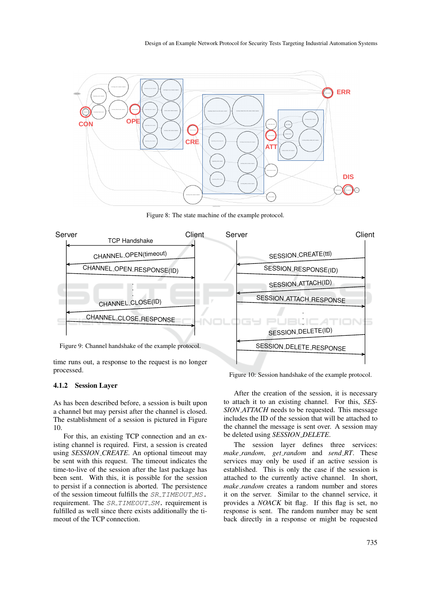

Figure 8: The state machine of the example protocol.



time runs out, a response to the request is no longer processed.

4.1.2 Session Layer

As has been described before, a session is built upon a channel but may persist after the channel is closed. The establishment of a session is pictured in Figure 10.

For this, an existing TCP connection and an existing channel is required. First, a session is created using *SESSION CREATE*. An optional timeout may be sent with this request. The timeout indicates the time-to-live of the session after the last package has been sent. With this, it is possible for the session to persist if a connection is aborted. The persistence of the session timeout fulfills the SR\_TIMEOUT\_MS. requirement. The SR\_TIMEOUT\_SM. requirement is fulfilled as well since there exists additionally the timeout of the TCP connection.

Figure 10: Session handshake of the example protocol.

After the creation of the session, it is necessary to attach it to an existing channel. For this, *SES-SION ATTACH* needs to be requested. This message includes the ID of the session that will be attached to the channel the message is sent over. A session may be deleted using *SESSION DELETE*.

The session layer defines three services: *make random*, *get random* and *send RT*. These services may only be used if an active session is established. This is only the case if the session is attached to the currently active channel. In short, *make random* creates a random number and stores it on the server. Similar to the channel service, it provides a *NOACK* bit flag. If this flag is set, no response is sent. The random number may be sent back directly in a response or might be requested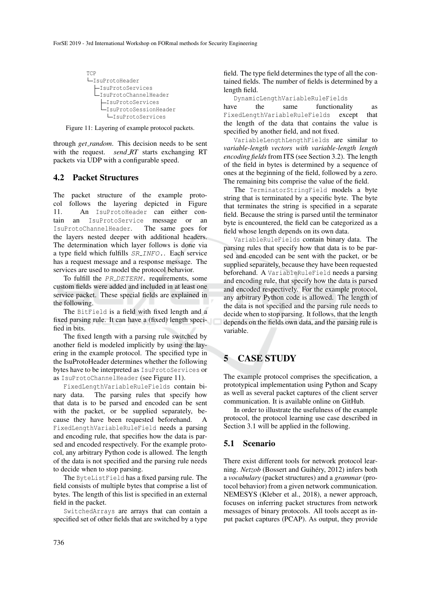

Figure 11: Layering of example protocol packets.

through *get random*. This decision needs to be sent with the request. *send\_RT* starts exchanging RT packets via UDP with a configurable speed.

## 4.2 Packet Structures

The packet structure of the example protocol follows the layering depicted in Figure 11. An IsuProtoHeader can either contain an IsuProtoService message or an IsuProtoChannelHeader. The same goes for the layers nested deeper with additional headers. The determination which layer follows is done via a type field which fulfills SR INFO.. Each service has a request message and a response message. The services are used to model the protocol behavior.

To fulfill the PR\_DETERM. requirements, some custom fields were added and included in at least one service packet. These special fields are explained in the following.

The BitField is a field with fixed length and a fixed parsing rule. It can have a (fixed) length specified in bits.

The fixed length with a parsing rule switched by another field is modeled implicitly by using the layering in the example protocol. The specified type in the IsuProtoHeader determines whether the following bytes have to be interpreted as IsuProtoServices or as IsuProtoChannelHeader (see Figure 11).

FixedLengthVariableRuleFields contain binary data. The parsing rules that specify how that data is to be parsed and encoded can be sent with the packet, or be supplied separately, because they have been requested beforehand. A FixedLengthVariableRuleField needs a parsing and encoding rule, that specifies how the data is parsed and encoded respectively. For the example protocol, any arbitrary Python code is allowed. The length of the data is not specified and the parsing rule needs to decide when to stop parsing.

The ByteListField has a fixed parsing rule. The field consists of multiple bytes that comprise a list of bytes. The length of this list is specified in an external field in the packet.

SwitchedArrays are arrays that can contain a specified set of other fields that are switched by a type

field. The type field determines the type of all the contained fields. The number of fields is determined by a length field.

DynamicLengthVariableRuleFields have the same functionality as FixedLengthVariableRuleFields except that the length of the data that contains the value is specified by another field, and not fixed.

VariableLengthLengthFields are similar to *variable-length vectors with variable-length length encoding fields*from ITS (see Section 3.2). The length of the field in bytes is determined by a sequence of ones at the beginning of the field, followed by a zero. The remaining bits comprise the value of the field.

The TerminatorStringField models a byte string that is terminated by a specific byte. The byte that terminates the string is specified in a separate field. Because the string is parsed until the terminator byte is encountered, the field can be categorized as a field whose length depends on its own data.

VariableRuleFields contain binary data. The parsing rules that specify how that data is to be parsed and encoded can be sent with the packet, or be supplied separately, because they have been requested beforehand. A VariableRuleField needs a parsing and encoding rule, that specify how the data is parsed and encoded respectively. For the example protocol, any arbitrary Python code is allowed. The length of the data is not specified and the parsing rule needs to decide when to stop parsing. It follows, that the length depends on the fields own data, and the parsing rule is variable.

# 5 CASE STUDY

The example protocol comprises the specification, a prototypical implementation using Python and Scapy as well as several packet captures of the client server communication. It is available online on GitHub.

In order to illustrate the usefulness of the example protocol, the protocol learning use case described in Section 3.1 will be applied in the following.

### 5.1 Scenario

There exist different tools for network protocol learning. *Netzob* (Bossert and Guihéry, 2012) infers both a *vocabulary* (packet structures) and a *grammar* (protocol behavior) from a given network communication. NEMESYS (Kleber et al., 2018), a newer approach, focuses on inferring packet structures from network messages of binary protocols. All tools accept as input packet captures (PCAP). As output, they provide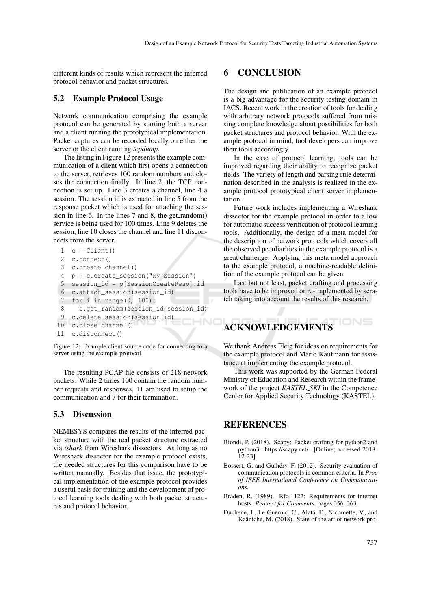different kinds of results which represent the inferred protocol behavior and packet structures.

# 5.2 Example Protocol Usage

Network communication comprising the example protocol can be generated by starting both a server and a client running the prototypical implementation. Packet captures can be recorded locally on either the server or the client running *tcpdump*.

The listing in Figure 12 presents the example communication of a client which first opens a connection to the server, retrieves 100 random numbers and closes the connection finally. In line 2, the TCP connection is set up. Line 3 creates a channel, line 4 a session. The session id is extracted in line 5 from the response packet which is used for attaching the session in line 6. In the lines 7 and 8, the get\_random() service is being used for 100 times. Line 9 deletes the session, line 10 closes the channel and line 11 disconnects from the server.

```
1 c = Client()
 2 c.connect()
 3 c.create_channel()
 4 p = c.create_session("My Session")
 5 session id = p[SessionCreateResp].id6 c.attach_session(session_id)
7 for i in range(0, 100):
8 c.get_random(session_id=session_id)
9 c.delete_session(session_id)
                                    HNC
10 c.close_channel()
11 c.disconnect()
```
Figure 12: Example client source code for connecting to a server using the example protocol.

The resulting PCAP file consists of 218 network packets. While 2 times 100 contain the random number requests and responses, 11 are used to setup the communication and 7 for their termination.

## 5.3 Discussion

NEMESYS compares the results of the inferred packet structure with the real packet structure extracted via *tshark* from Wireshark dissectors. As long as no Wireshark dissector for the example protocol exists, the needed structures for this comparison have to be written manually. Besides that issue, the prototypical implementation of the example protocol provides a useful basis for training and the development of protocol learning tools dealing with both packet structures and protocol behavior.

# 6 CONCLUSION

The design and publication of an example protocol is a big advantage for the security testing domain in IACS. Recent work in the creation of tools for dealing with arbitrary network protocols suffered from missing complete knowledge about possibilities for both packet structures and protocol behavior. With the example protocol in mind, tool developers can improve their tools accordingly.

In the case of protocol learning, tools can be improved regarding their ability to recognize packet fields. The variety of length and parsing rule determination described in the analysis is realized in the example protocol prototypical client server implementation.

Future work includes implementing a Wireshark dissector for the example protocol in order to allow for automatic success verification of protocol learning tools. Additionally, the design of a meta model for the description of network protocols which covers all the observed peculiarities in the example protocol is a great challenge. Applying this meta model approach to the example protocol, a machine-readable definition of the example protocol can be given.

Last but not least, packet crafting and processing tools have to be improved or re-implemented by scratch taking into account the results of this research.

# ACKNOWLEDGEMENTS

We thank Andreas Fleig for ideas on requirements for the example protocol and Mario Kaufmann for assistance at implementing the example protocol.

This work was supported by the German Federal Ministry of Education and Research within the framework of the project *KASTEL SKI* in the Competence Center for Applied Security Technology (KASTEL).

# **REFERENCES**

- Biondi, P. (2018). Scapy: Packet crafting for python2 and python3. https://scapy.net/. [Online; accessed 2018-  $[12-23]$ .
- Bossert, G. and Guihéry, F. (2012). Security evaluation of communication protocols in common criteria. In *Proc of IEEE International Conference on Communications*.
- Braden, R. (1989). Rfc-1122: Requirements for internet hosts. *Request for Comments*, pages 356–363.
- Duchene, J., Le Guernic, C., Alata, E., Nicomette, V., and Kaâniche, M. (2018). State of the art of network pro-